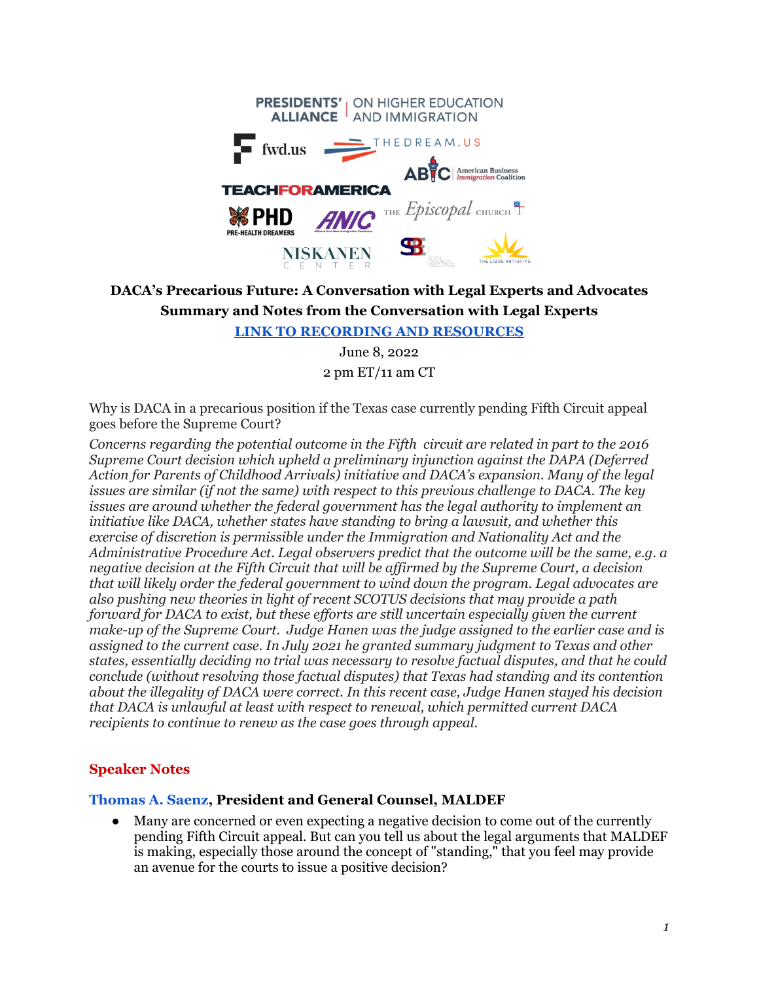|                                                           | <b>PRESIDENTS'</b> ON HIGHER EDUCATION<br><b>ALLIANCE</b> AND IMMIGRATION |
|-----------------------------------------------------------|---------------------------------------------------------------------------|
| $\equiv$ fwd.us                                           | THEDREAM.US                                                               |
| <b>TEACHFORAMERICA</b>                                    | $\overline{\mathbf{AB}}$ $\overline{\mathbf{C}}$   American Business      |
| <b>ANIC</b><br><b>緣 PHD</b><br><b>PRE-HEALTH DREAMERS</b> | THE <i>Episcopal</i> CHURCH                                               |
| <b>NISKANEN</b>                                           |                                                                           |

# **DACA's Precarious Future: A Conversation with Legal Experts and Advocates Summary and Notes from the Conversation with Legal Experts**

**LINK TO [RECORDING](https://www.presidentsalliance.org/webinar-dacas-precarious-future-a-conversation-with-legal-experts-and-advocates/) AND RESOURCES**

June 8, 2022 2 pm ET/11 am CT

Why is DACA in a precarious position if the Texas case currently pending Fifth Circuit appeal goes before the Supreme Court?

*Concerns regarding the potential outcome in the Fifth circuit are related in part to the 2016 Supreme Court decision which upheld a preliminary injunction against the DAPA (Deferred Action for Parents of Childhood Arrivals) initiative and DACA's expansion. Many of the legal issues are similar (if not the same) with respect to this previous challenge to DACA. The key issues are around whether the federal government has the legal authority to implement an initiative like DACA, whether states have standing to bring a lawsuit, and whether this exercise of discretion is permissible under the Immigration and Nationality Act and the Administrative Procedure Act. Legal observers predict that the outcome will be the same, e.g. a negative decision at the Fifth Circuit that will be af irmed by the Supreme Court, a decision that will likely order the federal government to wind down the program. Legal advocates are also pushing new theories in light of recent SCOTUS decisions that may provide a path forward for DACA to exist, but these ef orts are still uncertain especially given the current make-up of the Supreme Court. Judge Hanen was the judge assigned to the earlier case and is assigned to the current case. In July 2021 he granted summary judgment to Texas and other states, essentially deciding no trial was necessary to resolve factual disputes, and that he could conclude (without resolving those factual disputes) that Texas had standing and its contention about the illegality of DACA were correct. In this recent case, Judge Hanen stayed his decision that DACA is unlawful at least with respect to renewal, which permitted current DACA recipients to continue to renew as the case goes through appeal.*

#### **Speaker Notes**

#### **Thomas A. Saenz, President and General Counsel, MALDEF**

● Many are concerned or even expecting a negative decision to come out of the currently pending Fifth Circuit appeal. But can you tell us about the legal arguments that MALDEF is making, especially those around the concept of "standing," that you feel may provide an avenue for the courts to issue a positive decision?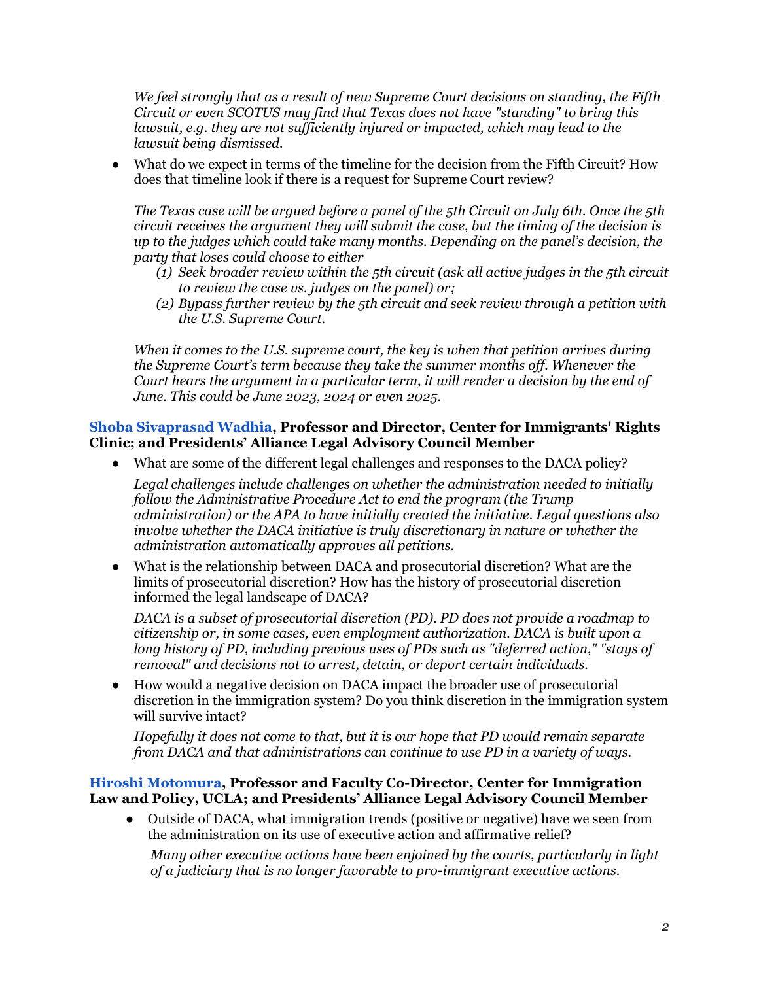*We feel strongly that as a result of new Supreme Court decisions on standing, the Fifth Circuit or even SCOTUS may find that Texas does not have "standing" to bring this lawsuit, e.g. they are not suf iciently injured or impacted, which may lead to the lawsuit being dismissed.*

● What do we expect in terms of the timeline for the decision from the Fifth Circuit? How does that timeline look if there is a request for Supreme Court review?

*The Texas case will be argued before a panel of the 5th Circuit on July 6th. Once the 5th circuit receives the argument they will submit the case, but the timing of the decision is up to the judges which could take many months. Depending on the panel's decision, the party that loses could choose to either*

- *(1) Seek broader review within the 5th circuit (ask all active judges in the 5th circuit to review the case vs. judges on the panel) or;*
- *(2) Bypass further review by the 5th circuit and seek review through a petition with the U.S. Supreme Court.*

*When it comes to the U.S. supreme court, the key is when that petition arrives during the Supreme Court's term because they take the summer months of . Whenever the Court hears the argument in a particular term, it will render a decision by the end of June. This could be June 2023, 2024 or even 2025.*

#### **Shoba Sivaprasad Wadhia, Professor and Director, Center for Immigrants' Rights Clinic; and Presidents' Alliance Legal Advisory Council Member**

● What are some of the different legal challenges and responses to the DACA policy?

*Legal challenges include challenges on whether the administration needed to initially follow the Administrative Procedure Act to end the program (the Trump administration) or the APA to have initially created the initiative. Legal questions also involve whether the DACA initiative is truly discretionary in nature or whether the administration automatically approves all petitions.*

● What is the relationship between DACA and prosecutorial discretion? What are the limits of prosecutorial discretion? How has the history of prosecutorial discretion informed the legal landscape of DACA?

*DACA is a subset of prosecutorial discretion (PD). PD does not provide a roadmap to citizenship or, in some cases, even employment authorization. DACA is built upon a long history of PD, including previous uses of PDs such as "deferred action," "stays of removal" and decisions not to arrest, detain, or deport certain individuals.*

● How would a negative decision on DACA impact the broader use of prosecutorial discretion in the immigration system? Do you think discretion in the immigration system will survive intact?

*Hopefully it does not come to that, but it is our hope that PD would remain separate from DACA and that administrations can continue to use PD in a variety of ways.*

### **Hiroshi Motomura, Professor and Faculty Co-Director, Center for Immigration Law and Policy, UCLA; and Presidents' Alliance Legal Advisory Council Member**

● Outside of DACA, what immigration trends (positive or negative) have we seen from the administration on its use of executive action and affirmative relief?

*Many other executive actions have been enjoined by the courts, particularly in light of a judiciary that is no longer favorable to pro-immigrant executive actions.*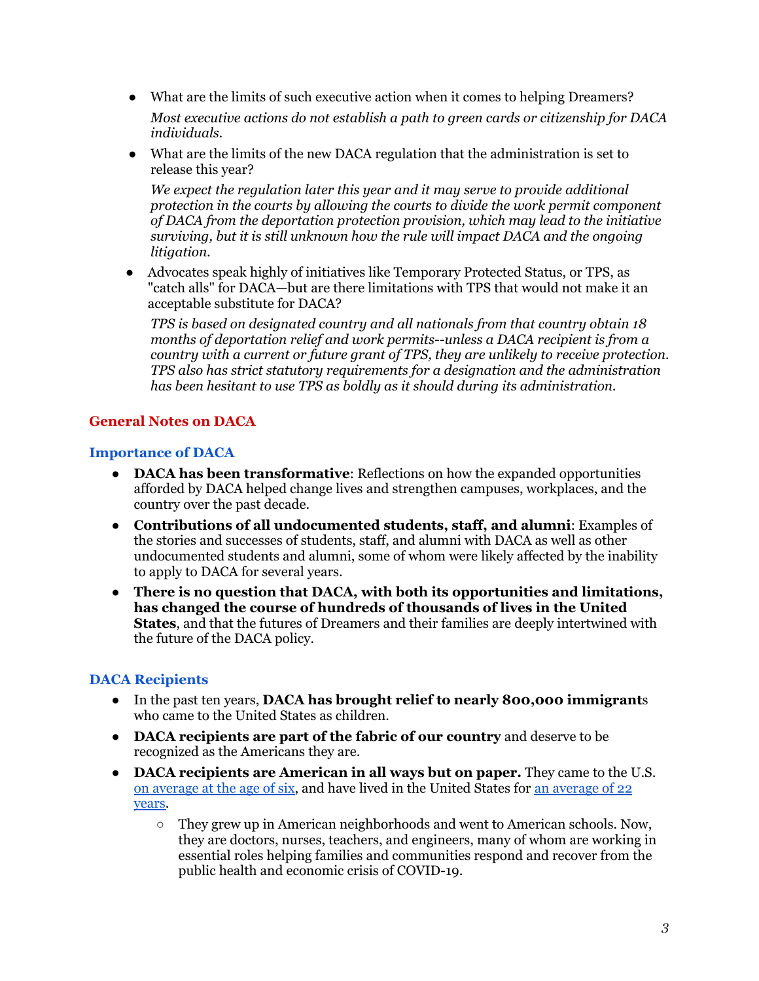- What are the limits of such executive action when it comes to helping Dreamers? *Most executive actions do not establish a path to green cards or citizenship for DACA individuals.*
- What are the limits of the new DACA regulation that the administration is set to release this year?

*We expect the regulation later this year and it may serve to provide additional protection in the courts by allowing the courts to divide the work permit component of DACA from the deportation protection provision, which may lead to the initiative surviving, but it is still unknown how the rule will impact DACA and the ongoing litigation.*

● Advocates speak highly of initiatives like Temporary Protected Status, or TPS, as "catch alls" for DACA—but are there limitations with TPS that would not make it an acceptable substitute for DACA?

*TPS is based on designated country and all nationals from that country obtain 18 months of deportation relief and work permits--unless a DACA recipient is from a country with a current or future grant of TPS, they are unlikely to receive protection. TPS also has strict statutory requirements for a designation and the administration has been hesitant to use TPS as boldly as it should during its administration.*

# **General Notes on DACA**

### **Importance of DACA**

- **DACA has been transformative**: Reflections on how the expanded opportunities afforded by DACA helped change lives and strengthen campuses, workplaces, and the country over the past decade.
- **Contributions of all undocumented students, staff, and alumni**: Examples of the stories and successes of students, staff, and alumni with DACA as well as other undocumented students and alumni, some of whom were likely affected by the inability to apply to DACA for several years.
- **There is no question that DACA, with both its opportunities and limitations, has changed the course of hundreds of thousands of lives in the United States**, and that the futures of Dreamers and their families are deeply intertwined with the future of the DACA policy.

# **DACA Recipients**

- In the past ten years, **DACA has brought relief to n[early](https://www.npr.org/2020/06/18/829858289/supreme-court-upholds-daca-in-blow-to-trump-administration) 800,000 immigrant**s who came to the United States as children.
- **DACA recipients are part of the fabric of our country** and deserve to be recognized as the Americans they are.
- **DACA recipients are American in all ways but on paper.** They came to the U.S[.](https://www.americanprogress.org/issues/immigration/news/2019/09/19/474636/daca-recipients-livelihoods-families-sense-security-stake-november/) on [average](https://www.americanprogress.org/issues/immigration/news/2019/09/19/474636/daca-recipients-livelihoods-families-sense-security-stake-november/) at the age of six, and have lived in the United States for an [average](https://www.americanprogress.org/issues/immigration/news/2019/09/05/474177/know-daca-recipients-united-states/) of 22 [years.](https://www.americanprogress.org/issues/immigration/news/2019/09/05/474177/know-daca-recipients-united-states/)
	- $\circ$  They grew up in American neighborhoods and went to American schools. Now, they are doctors, nurses, teachers, and engineers, many of whom are working in essential roles helping families and communities respond and recover from the public health and economic crisis of COVID-19.